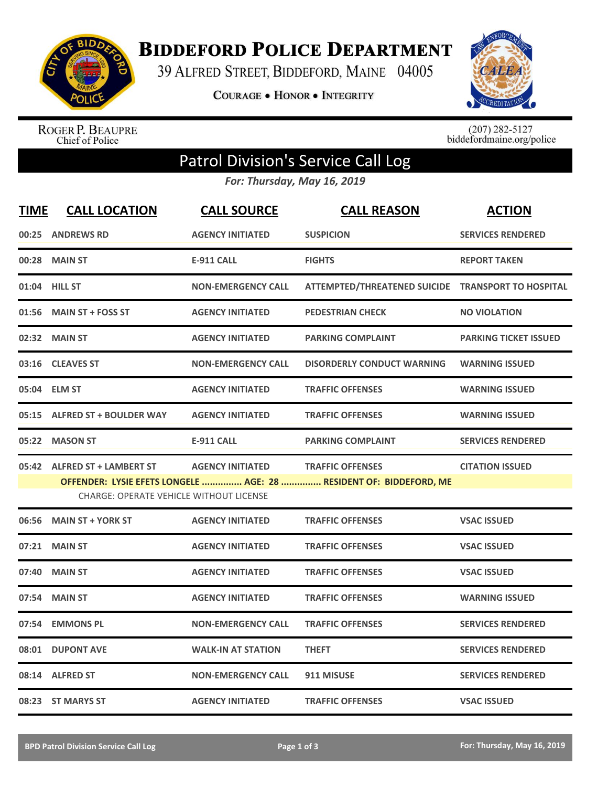

**BIDDEFORD POLICE DEPARTMENT** 

39 ALFRED STREET, BIDDEFORD, MAINE 04005

**COURAGE . HONOR . INTEGRITY** 



ROGER P. BEAUPRE<br>Chief of Police

 $(207)$  282-5127<br>biddefordmaine.org/police

## Patrol Division's Service Call Log

*For: Thursday, May 16, 2019*

| <b>TIME</b> | <b>CALL LOCATION</b>                           | <b>CALL SOURCE</b>        | <b>CALL REASON</b>                                                 | <b>ACTION</b>                |
|-------------|------------------------------------------------|---------------------------|--------------------------------------------------------------------|------------------------------|
| 00:25       | <b>ANDREWS RD</b>                              | <b>AGENCY INITIATED</b>   | <b>SUSPICION</b>                                                   | <b>SERVICES RENDERED</b>     |
| 00:28       | <b>MAIN ST</b>                                 | <b>E-911 CALL</b>         | <b>FIGHTS</b>                                                      | <b>REPORT TAKEN</b>          |
|             | 01:04 HILL ST                                  | <b>NON-EMERGENCY CALL</b> | ATTEMPTED/THREATENED SUICIDE TRANSPORT TO HOSPITAL                 |                              |
| 01:56       | <b>MAIN ST + FOSS ST</b>                       | <b>AGENCY INITIATED</b>   | <b>PEDESTRIAN CHECK</b>                                            | <b>NO VIOLATION</b>          |
|             | 02:32 MAIN ST                                  | <b>AGENCY INITIATED</b>   | <b>PARKING COMPLAINT</b>                                           | <b>PARKING TICKET ISSUED</b> |
| 03:16       | <b>CLEAVES ST</b>                              | <b>NON-EMERGENCY CALL</b> | <b>DISORDERLY CONDUCT WARNING</b>                                  | <b>WARNING ISSUED</b>        |
|             | 05:04 ELM ST                                   | <b>AGENCY INITIATED</b>   | <b>TRAFFIC OFFENSES</b>                                            | <b>WARNING ISSUED</b>        |
| 05:15       | <b>ALFRED ST + BOULDER WAY</b>                 | <b>AGENCY INITIATED</b>   | <b>TRAFFIC OFFENSES</b>                                            | <b>WARNING ISSUED</b>        |
|             | 05:22 MASON ST                                 | <b>E-911 CALL</b>         | <b>PARKING COMPLAINT</b>                                           | <b>SERVICES RENDERED</b>     |
|             | 05:42 ALFRED ST + LAMBERT ST                   | <b>AGENCY INITIATED</b>   | <b>TRAFFIC OFFENSES</b>                                            | <b>CITATION ISSUED</b>       |
|             |                                                |                           | OFFENDER: LYSIE EFETS LONGELE  AGE: 28  RESIDENT OF: BIDDEFORD, ME |                              |
|             | <b>CHARGE: OPERATE VEHICLE WITHOUT LICENSE</b> |                           |                                                                    |                              |
| 06:56       | <b>MAIN ST + YORK ST</b>                       | <b>AGENCY INITIATED</b>   | <b>TRAFFIC OFFENSES</b>                                            | <b>VSAC ISSUED</b>           |
| 07:21       | <b>MAIN ST</b>                                 | <b>AGENCY INITIATED</b>   | <b>TRAFFIC OFFENSES</b>                                            | <b>VSAC ISSUED</b>           |
| 07:40       | <b>MAIN ST</b>                                 | <b>AGENCY INITIATED</b>   | <b>TRAFFIC OFFENSES</b>                                            | <b>VSAC ISSUED</b>           |
| 07:54       | <b>MAIN ST</b>                                 | <b>AGENCY INITIATED</b>   | <b>TRAFFIC OFFENSES</b>                                            | <b>WARNING ISSUED</b>        |
| 07:54       | <b>EMMONS PL</b>                               | <b>NON-EMERGENCY CALL</b> | <b>TRAFFIC OFFENSES</b>                                            | <b>SERVICES RENDERED</b>     |
| 08:01       | <b>DUPONT AVE</b>                              | <b>WALK-IN AT STATION</b> | <b>THEFT</b>                                                       | <b>SERVICES RENDERED</b>     |
|             | 08:14 ALFRED ST                                | <b>NON-EMERGENCY CALL</b> | 911 MISUSE                                                         | <b>SERVICES RENDERED</b>     |
|             | 08:23 ST MARYS ST                              | <b>AGENCY INITIATED</b>   | <b>TRAFFIC OFFENSES</b>                                            | <b>VSAC ISSUED</b>           |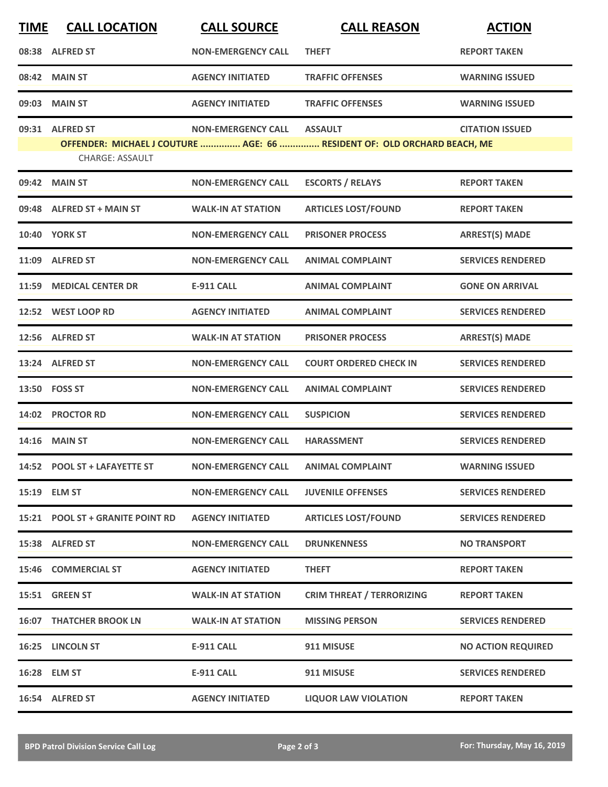| <b>TIME</b> | <b>CALL LOCATION</b>             | <b>CALL SOURCE</b>        | <b>CALL REASON</b>                                                       | <b>ACTION</b>             |
|-------------|----------------------------------|---------------------------|--------------------------------------------------------------------------|---------------------------|
|             | 08:38 ALFRED ST                  | <b>NON-EMERGENCY CALL</b> | <b>THEFT</b>                                                             | <b>REPORT TAKEN</b>       |
|             | 08:42 MAIN ST                    | <b>AGENCY INITIATED</b>   | <b>TRAFFIC OFFENSES</b>                                                  | <b>WARNING ISSUED</b>     |
| 09:03       | <b>MAIN ST</b>                   | <b>AGENCY INITIATED</b>   | <b>TRAFFIC OFFENSES</b>                                                  | <b>WARNING ISSUED</b>     |
|             | 09:31 ALFRED ST                  | <b>NON-EMERGENCY CALL</b> | <b>ASSAULT</b>                                                           | <b>CITATION ISSUED</b>    |
|             | <b>CHARGE: ASSAULT</b>           |                           | OFFENDER: MICHAEL J COUTURE  AGE: 66  RESIDENT OF: OLD ORCHARD BEACH, ME |                           |
|             | 09:42 MAIN ST                    | <b>NON-EMERGENCY CALL</b> | <b>ESCORTS / RELAYS</b>                                                  | <b>REPORT TAKEN</b>       |
|             | 09:48 ALFRED ST + MAIN ST        | <b>WALK-IN AT STATION</b> | <b>ARTICLES LOST/FOUND</b>                                               | <b>REPORT TAKEN</b>       |
|             | <b>10:40 YORK ST</b>             | <b>NON-EMERGENCY CALL</b> | <b>PRISONER PROCESS</b>                                                  | <b>ARREST(S) MADE</b>     |
| 11:09       | <b>ALFRED ST</b>                 | <b>NON-EMERGENCY CALL</b> | <b>ANIMAL COMPLAINT</b>                                                  | <b>SERVICES RENDERED</b>  |
|             | 11:59 MEDICAL CENTER DR          | <b>E-911 CALL</b>         | <b>ANIMAL COMPLAINT</b>                                                  | <b>GONE ON ARRIVAL</b>    |
|             | 12:52 WEST LOOP RD               | <b>AGENCY INITIATED</b>   | <b>ANIMAL COMPLAINT</b>                                                  | <b>SERVICES RENDERED</b>  |
|             | 12:56 ALFRED ST                  | <b>WALK-IN AT STATION</b> | <b>PRISONER PROCESS</b>                                                  | <b>ARREST(S) MADE</b>     |
|             | 13:24 ALFRED ST                  | <b>NON-EMERGENCY CALL</b> | <b>COURT ORDERED CHECK IN</b>                                            | <b>SERVICES RENDERED</b>  |
|             | 13:50 FOSS ST                    | <b>NON-EMERGENCY CALL</b> | <b>ANIMAL COMPLAINT</b>                                                  | <b>SERVICES RENDERED</b>  |
| 14:02       | <b>PROCTOR RD</b>                | <b>NON-EMERGENCY CALL</b> | <b>SUSPICION</b>                                                         | <b>SERVICES RENDERED</b>  |
|             | 14:16 MAIN ST                    | <b>NON-EMERGENCY CALL</b> | <b>HARASSMENT</b>                                                        | <b>SERVICES RENDERED</b>  |
|             | 14:52 POOL ST + LAFAYETTE ST     | <b>NON-EMERGENCY CALL</b> | <b>ANIMAL COMPLAINT</b>                                                  | <b>WARNING ISSUED</b>     |
|             | 15:19 ELM ST                     | <b>NON-EMERGENCY CALL</b> | <b>JUVENILE OFFENSES</b>                                                 | <b>SERVICES RENDERED</b>  |
|             | 15:21 POOL ST + GRANITE POINT RD | <b>AGENCY INITIATED</b>   | <b>ARTICLES LOST/FOUND</b>                                               | <b>SERVICES RENDERED</b>  |
|             | 15:38 ALFRED ST                  | <b>NON-EMERGENCY CALL</b> | <b>DRUNKENNESS</b>                                                       | <b>NO TRANSPORT</b>       |
|             | 15:46 COMMERCIAL ST              | <b>AGENCY INITIATED</b>   | <b>THEFT</b>                                                             | <b>REPORT TAKEN</b>       |
|             | 15:51 GREEN ST                   | <b>WALK-IN AT STATION</b> | <b>CRIM THREAT / TERRORIZING</b>                                         | <b>REPORT TAKEN</b>       |
|             | <b>16:07 THATCHER BROOK LN</b>   | <b>WALK-IN AT STATION</b> | <b>MISSING PERSON</b>                                                    | <b>SERVICES RENDERED</b>  |
|             | 16:25 LINCOLN ST                 | <b>E-911 CALL</b>         | 911 MISUSE                                                               | <b>NO ACTION REQUIRED</b> |
|             | 16:28 ELM ST                     | <b>E-911 CALL</b>         | 911 MISUSE                                                               | <b>SERVICES RENDERED</b>  |
|             | 16:54 ALFRED ST                  | <b>AGENCY INITIATED</b>   | <b>LIQUOR LAW VIOLATION</b>                                              | <b>REPORT TAKEN</b>       |